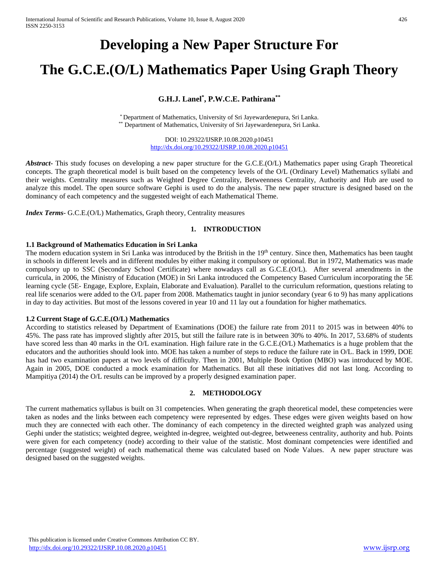# **Developing a New Paper Structure For**

# **The G.C.E.(O/L) Mathematics Paper Using Graph Theory**

### **G.H.J. Lanel\* , P.W.C.E. Pathirana\*\***

\* Department of Mathematics, University of Sri Jayewardenepura, Sri Lanka. \*\* Department of Mathematics, University of Sri Jayewardenepura, Sri Lanka.

> DOI: 10.29322/IJSRP.10.08.2020.p10451 <http://dx.doi.org/10.29322/IJSRP.10.08.2020.p10451>

*Abstract***-** This study focuses on developing a new paper structure for the G.C.E.(O/L) Mathematics paper using Graph Theoretical concepts. The graph theoretical model is built based on the competency levels of the O/L (Ordinary Level) Mathematics syllabi and their weights. Centrality measures such as Weighted Degree Centrality, Betweenness Centrality, Authority and Hub are used to analyze this model. The open source software Gephi is used to do the analysis. The new paper structure is designed based on the dominancy of each competency and the suggested weight of each Mathematical Theme.

*Index Terms*- G.C.E.(O/L) Mathematics, Graph theory, Centrality measures

### **1. INTRODUCTION**

#### **1.1 Background of Mathematics Education in Sri Lanka**

The modern education system in Sri Lanka was introduced by the British in the 19<sup>th</sup> century. Since then, Mathematics has been taught in schools in different levels and in different modules by either making it compulsory or optional. But in 1972, Mathematics was made compulsory up to SSC (Secondary School Certificate) where nowadays call as G.C.E.(O/L). After several amendments in the curricula, in 2006, the Ministry of Education (MOE) in Sri Lanka introduced the Competency Based Curriculum incorporating the 5E learning cycle (5E- Engage, Explore, Explain, Elaborate and Evaluation). Parallel to the curriculum reformation, questions relating to real life scenarios were added to the O/L paper from 2008. Mathematics taught in junior secondary (year 6 to 9) has many applications in day to day activities. But most of the lessons covered in year 10 and 11 lay out a foundation for higher mathematics.

#### **1.2 Current Stage of G.C.E.(O/L) Mathematics**

According to statistics released by Department of Examinations (DOE) the failure rate from 2011 to 2015 was in between 40% to 45%. The pass rate has improved slightly after 2015, but still the failure rate is in between 30% to 40%. In 2017, 53.68% of students have scored less than 40 marks in the O/L examination. High failure rate in the G.C.E.(O/L) Mathematics is a huge problem that the educators and the authorities should look into. MOE has taken a number of steps to reduce the failure rate in O/L. Back in 1999, DOE has had two examination papers at two levels of difficulty. Then in 2001, Multiple Book Option (MBO) was introduced by MOE. Again in 2005, DOE conducted a mock examination for Mathematics. But all these initiatives did not last long. According to Mampitiya (2014) the O/L results can be improved by a properly designed examination paper.

#### **2. METHODOLOGY**

The current mathematics syllabus is built on 31 competencies. When generating the graph theoretical model, these competencies were taken as nodes and the links between each competency were represented by edges. These edges were given weights based on how much they are connected with each other. The dominancy of each competency in the directed weighted graph was analyzed using Gephi under the statistics; weighted degree, weighted in-degree, weighted out-degree, betweeness centrality, authority and hub. Points were given for each competency (node) according to their value of the statistic. Most dominant competencies were identified and percentage (suggested weight) of each mathematical theme was calculated based on Node Values. A new paper structure was designed based on the suggested weights.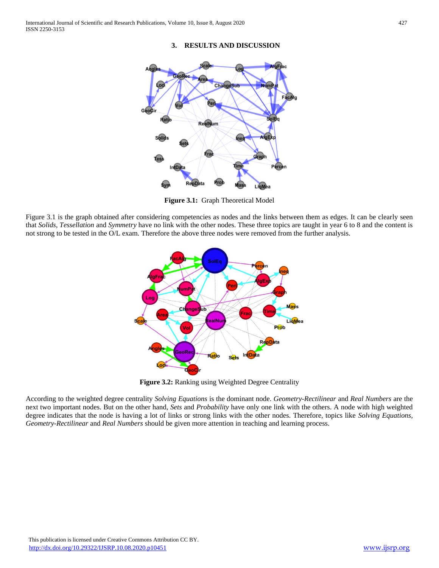#### **3. RESULTS AND DISCUSSION**



**Figure 3.1:** Graph Theoretical Model

Figure 3.1 is the graph obtained after considering competencies as nodes and the links between them as edges. It can be clearly seen that *Solids, Tessellation* and *Symmetry* have no link with the other nodes. These three topics are taught in year 6 to 8 and the content is not strong to be tested in the O/L exam. Therefore the above three nodes were removed from the further analysis.



Figure 3.2: Ranking using Weighted Degree Centrality

According to the weighted degree centrality *Solving Equations* is the dominant node. *Geometry-Rectilinear* and *Real Numbers* are the next two important nodes. But on the other hand, *Sets* and *Probability* have only one link with the others. A node with high weighted degree indicates that the node is having a lot of links or strong links with the other nodes. Therefore, topics like *Solving Equations, Geometry-Rectilinear* and *Real Numbers* should be given more attention in teaching and learning process.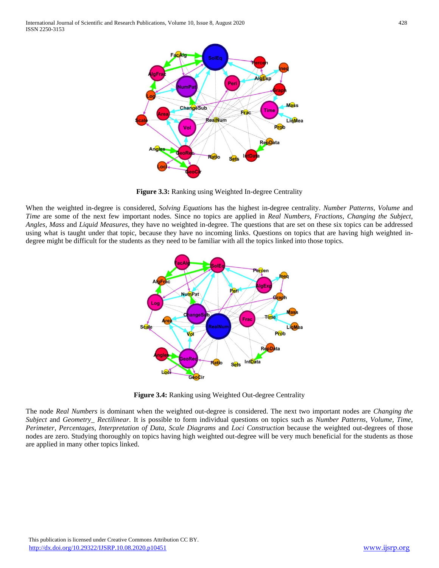

**Figure 3.3:** Ranking using Weighted In-degree Centrality

When the weighted in-degree is considered, *Solving Equations* has the highest in-degree centrality. *Number Patterns, Volume* and *Time* are some of the next few important nodes*.* Since no topics are applied in *Real Numbers, Fractions, Changing the Subject, Angles, Mass* and *Liquid Measures*, they have no weighted in-degree. The questions that are set on these six topics can be addressed using what is taught under that topic, because they have no incoming links. Questions on topics that are having high weighted indegree might be difficult for the students as they need to be familiar with all the topics linked into those topics.



**Figure 3.4:** Ranking using Weighted Out-degree Centrality

The node *Real Numbers* is dominant when the weighted out-degree is considered. The next two important nodes are *Changing the Subject* and *Geometry\_ Rectilinear.* It is possible to form individual questions on topics such as *Number Patterns, Volume, Time, Perimeter, Percentages, Interpretation of Data, Scale Diagrams* and *Loci Construction* because the weighted out-degrees of those nodes are zero. Studying thoroughly on topics having high weighted out-degree will be very much beneficial for the students as those are applied in many other topics linked.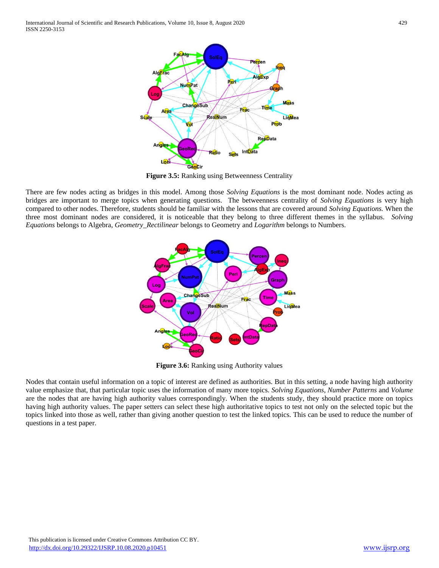

**Figure 3.5:** Ranking using Betweenness Centrality

There are few nodes acting as bridges in this model. Among those *Solving Equations* is the most dominant node. Nodes acting as bridges are important to merge topics when generating questions. The betweenness centrality of *Solving Equations* is very high compared to other nodes. Therefore, students should be familiar with the lessons that are covered around *Solving Equations.* When the three most dominant nodes are considered, it is noticeable that they belong to three different themes in the syllabus. *Solving Equations* belongs to Algebra, *Geometry\_Rectilinear* belongs to Geometry and *Logarithm* belongs to Numbers.



**Figure 3.6:** Ranking using Authority values

Nodes that contain useful information on a topic of interest are defined as authorities. But in this setting, a node having high authority value emphasize that, that particular topic uses the information of many more topics. *Solving Equations, Number Patterns* and *Volume*  are the nodes that are having high authority values correspondingly. When the students study, they should practice more on topics having high authority values. The paper setters can select these high authoritative topics to test not only on the selected topic but the topics linked into those as well, rather than giving another question to test the linked topics. This can be used to reduce the number of questions in a test paper.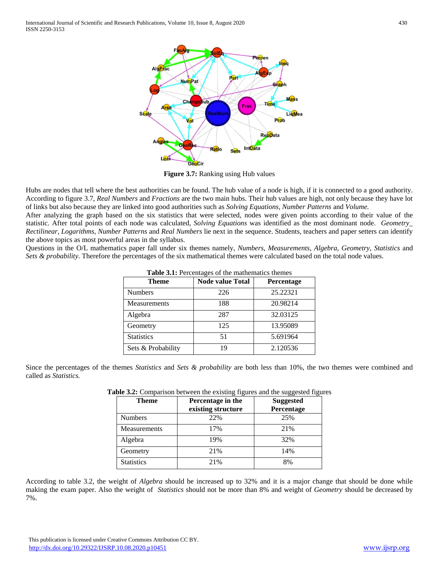

**Figure 3.7:** Ranking using Hub values

Hubs are nodes that tell where the best authorities can be found. The hub value of a node is high, if it is connected to a good authority. According to figure 3.7, *Real Numbers* and *Fractions* are the two main hubs. Their hub values are high, not only because they have lot of links but also because they are linked into good authorities such as *Solving Equations, Number Patterns* and *Volume.*

After analyzing the graph based on the six statistics that were selected, nodes were given points according to their value of the statistic. After total points of each node was calculated, *Solving Equations* was identified as the most dominant node. *Geometry\_ Rectilinear, Logarithms, Number Patterns* and *Real Numbers* lie next in the sequence. Students, teachers and paper setters can identify the above topics as most powerful areas in the syllabus.

Questions in the O/L mathematics paper fall under six themes namely, *Numbers*, *Measurements*, *Algebra*, *Geometry*, *Statistics* and *Sets & probability*. Therefore the percentages of the six mathematical themes were calculated based on the total node values.

| <b>Theme</b>        | <b>Node value Total</b> | Percentage |
|---------------------|-------------------------|------------|
| <b>Numbers</b>      | 226                     | 25.22321   |
| <b>Measurements</b> | 188                     | 20.98214   |
| Algebra             | 287                     | 32.03125   |
| Geometry            | 125                     | 13.95089   |
| <b>Statistics</b>   | 51                      | 5.691964   |
| Sets & Probability  | 19                      | 2.120536   |

**Table 3.1:** Percentages of the mathematics themes

Since the percentages of the themes *Statistics* and *Sets & probability* are both less than 10%, the two themes were combined and called as *Statistics.* 

| <b>Table 3.2:</b> Comparison between the existing figures and the suggested figures |                   |                  |  |
|-------------------------------------------------------------------------------------|-------------------|------------------|--|
| Theme                                                                               | Percentage in the | <b>Suggested</b> |  |
|                                                                                     |                   |                  |  |

| Theme             | Percentage in the<br>existing structure | <b>Suggested</b><br>Percentage |
|-------------------|-----------------------------------------|--------------------------------|
| <b>Numbers</b>    | 22%                                     | 25%                            |
| Measurements      | 17%                                     | 21%                            |
| Algebra           | 19%                                     | 32%                            |
| Geometry          | 21%                                     | 14%                            |
| <b>Statistics</b> | 21%                                     | 8%                             |

According to table 3.2, the weight of *Algebra* should be increased up to 32% and it is a major change that should be done while making the exam paper. Also the weight of *Statistics* should not be more than 8% and weight of *Geometry* should be decreased by 7%.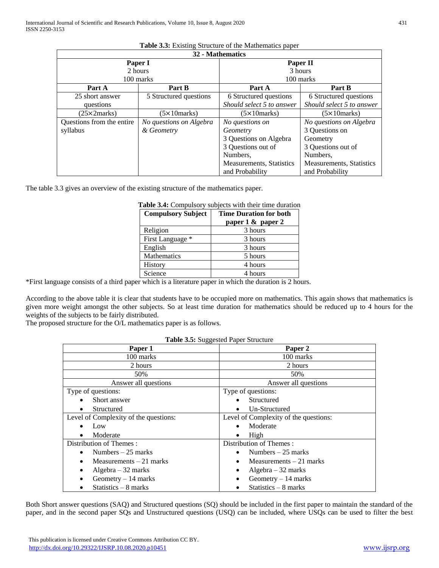| 32 - Mathematics          |                         |                                 |                                 |  |
|---------------------------|-------------------------|---------------------------------|---------------------------------|--|
| Paper I                   |                         | Paper II                        |                                 |  |
| 2 hours                   |                         | 3 hours                         |                                 |  |
| 100 marks                 |                         | 100 marks                       |                                 |  |
| Part A                    | Part B                  | Part A                          | Part B                          |  |
| 25 short answer           | 5 Structured questions  | 6 Structured questions          | 6 Structured questions          |  |
| questions                 |                         | Should select 5 to answer       | Should select 5 to answer       |  |
| $(25\times2marks)$        | $(5 \times 10$ marks)   | $(5\times10$ marks)             | $(5\times10$ marks)             |  |
| Questions from the entire | No questions on Algebra | No questions on                 | No questions on Algebra         |  |
| syllabus                  | & Geometry              | Geometry                        | 3 Questions on                  |  |
|                           |                         | 3 Questions on Algebra          | Geometry                        |  |
|                           |                         | 3 Questions out of              | 3 Questions out of              |  |
|                           |                         | Numbers.                        | Numbers.                        |  |
|                           |                         | <b>Measurements, Statistics</b> | <b>Measurements, Statistics</b> |  |
|                           |                         | and Probability                 | and Probability                 |  |

## **Table 3.3:** Existing Structure of the Mathematics paper

The table 3.3 gives an overview of the existing structure of the mathematics paper.

| <b>Compulsory Subject</b> | <b>Time Duration for both</b> |  |
|---------------------------|-------------------------------|--|
|                           | paper 1 & paper 2             |  |
| Religion                  | 3 hours                       |  |
| First Language *          | 3 hours                       |  |
| English                   | 3 hours                       |  |
| <b>Mathematics</b>        | 5 hours                       |  |
| History                   | 4 hours                       |  |
| Science                   | 4 hours                       |  |

## **Table 3.4:** Compulsory subjects with their time duration

\*First language consists of a third paper which is a literature paper in which the duration is 2 hours.

According to the above table it is clear that students have to be occupied more on mathematics. This again shows that mathematics is given more weight amongst the other subjects. So at least time duration for mathematics should be reduced up to 4 hours for the weights of the subjects to be fairly distributed.

The proposed structure for the O/L mathematics paper is as follows.

|  | Table 3.5: Suggested Paper Structure |  |
|--|--------------------------------------|--|
|--|--------------------------------------|--|

| Paper 1                               | Paper 2                               |
|---------------------------------------|---------------------------------------|
| 100 marks                             | 100 marks                             |
| 2 hours                               | 2 hours                               |
| 50%                                   | 50%                                   |
| Answer all questions                  | Answer all questions                  |
| Type of questions:                    | Type of questions:                    |
| Short answer                          | Structured                            |
| Structured                            | Un-Structured                         |
| Level of Complexity of the questions: | Level of Complexity of the questions: |
| Low                                   | Moderate                              |
| Moderate<br>$\bullet$                 | High<br>٠                             |
| Distribution of Themes:               | Distribution of Themes:               |
| Numbers $-25$ marks<br>$\bullet$      | Numbers $-25$ marks                   |
| Measurements $-21$ marks              | Measurements $-21$ marks              |
| Algebra $-32$ marks<br>٠              | Algebra $-32$ marks                   |
| Geometry $-14$ marks                  | Geometry $-14$ marks                  |
| Statistics $-8$ marks                 | Statistics $-8$ marks                 |

Both Short answer questions (SAQ) and Structured questions (SQ) should be included in the first paper to maintain the standard of the paper, and in the second paper SQs and Unstructured questions (USQ) can be included, where USQs can be used to filter the best